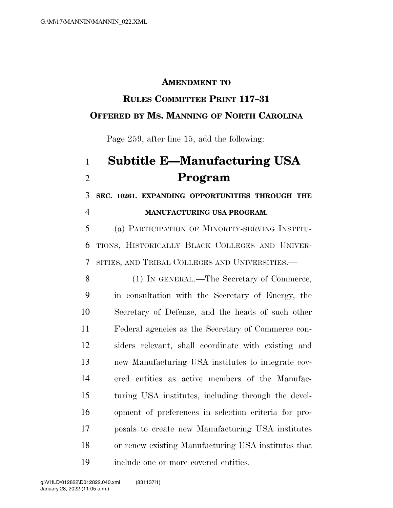#### **AMENDMENT TO**

## **RULES COMMITTEE PRINT 117–31**

#### **OFFERED BY MS. MANNING OF NORTH CAROLINA**

Page 259, after line 15, add the following:

# **Subtitle E—Manufacturing USA Program**

 **SEC. 10261. EXPANDING OPPORTUNITIES THROUGH THE MANUFACTURING USA PROGRAM.** 

 (a) PARTICIPATION OF MINORITY-SERVING INSTITU- TIONS, HISTORICALLY BLACK COLLEGES AND UNIVER-SITIES, AND TRIBAL COLLEGES AND UNIVERSITIES.—

 (1) IN GENERAL.—The Secretary of Commerce, in consultation with the Secretary of Energy, the Secretary of Defense, and the heads of such other Federal agencies as the Secretary of Commerce con- siders relevant, shall coordinate with existing and new Manufacturing USA institutes to integrate cov- ered entities as active members of the Manufac- turing USA institutes, including through the devel- opment of preferences in selection criteria for pro- posals to create new Manufacturing USA institutes or renew existing Manufacturing USA institutes that include one or more covered entities.